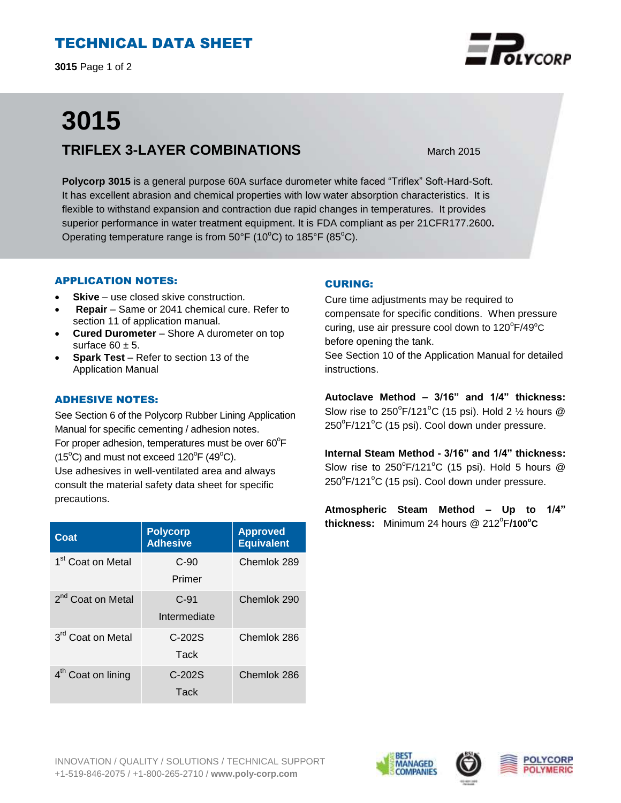# TECHNICAL DATA SHEET

**3015** Page 1 of 2

# **3015 TRIFLEX 3-LAYER COMBINATIONS** March 2015

**Polycorp 3015** is a general purpose 60A surface durometer white faced "Triflex" Soft-Hard-Soft. It has excellent abrasion and chemical properties with low water absorption characteristics. It is flexible to withstand expansion and contraction due rapid changes in temperatures. It provides superior performance in water treatment equipment. It is FDA compliant as per 21CFR177.2600**.**  Operating temperature range is from  $50^{\circ}F$  (10 $^{\circ}C$ ) to 185 $^{\circ}F$  (85 $^{\circ}C$ ).

#### APPLICATION NOTES:

- **Skive** use closed skive construction.
- **Repair**  Same or 2041 chemical cure. Refer to section 11 of application manual.
- **Cured Durometer**  Shore A durometer on top surface  $60 \pm 5$ .
- **Spark Test**  Refer to section 13 of the Application Manual

## ADHESIVE NOTES:

See Section 6 of the Polycorp Rubber Lining Application Manual for specific cementing / adhesion notes. For proper adhesion, temperatures must be over  $60^{\circ}$ F  $(15^{\circ}C)$  and must not exceed  $120^{\circ}F(49^{\circ}C)$ . Use adhesives in well-ventilated area and always consult the material safety data sheet for specific precautions.

| Coat                           | <b>Polycorp</b><br><b>Adhesive</b> | <b>Approved</b><br><b>Equivalent</b> |
|--------------------------------|------------------------------------|--------------------------------------|
| 1 <sup>st</sup> Coat on Metal  | $C-90$<br>Primer                   | Chemlok 289                          |
| 2 <sup>nd</sup> Coat on Metal  | $C-91$<br>Intermediate             | Chemlok 290                          |
| 3 <sup>rd</sup> Coat on Metal  | $C-202S$<br>Tack                   | Chemlok 286                          |
| 4 <sup>th</sup> Coat on lining | $C-202S$<br>Tack                   | Chemlok 286                          |

### CURING:

Cure time adjustments may be required to compensate for specific conditions. When pressure curing, use air pressure cool down to  $120^{\circ}$ F/49 $^{\circ}$ C before opening the tank.

See Section 10 of the Application Manual for detailed instructions.

**Autoclave Method – 3/16" and 1/4" thickness:** Slow rise to  $250^{\circ}$ F/121 $^{\circ}$ C (15 psi). Hold 2  $\frac{1}{2}$  hours @ 250°F/121°C (15 psi). Cool down under pressure.

**Internal Steam Method - 3/16" and 1/4" thickness:** Slow rise to  $250^{\circ}$ F/121 $^{\circ}$ C (15 psi). Hold 5 hours @  $250^{\circ}$ F/121 $^{\circ}$ C (15 psi). Cool down under pressure.

**Atmospheric Steam Method – Up to 1/4" thickness:** Minimum 24 hours @ 212<sup>°</sup>F/100<sup>°</sup>C